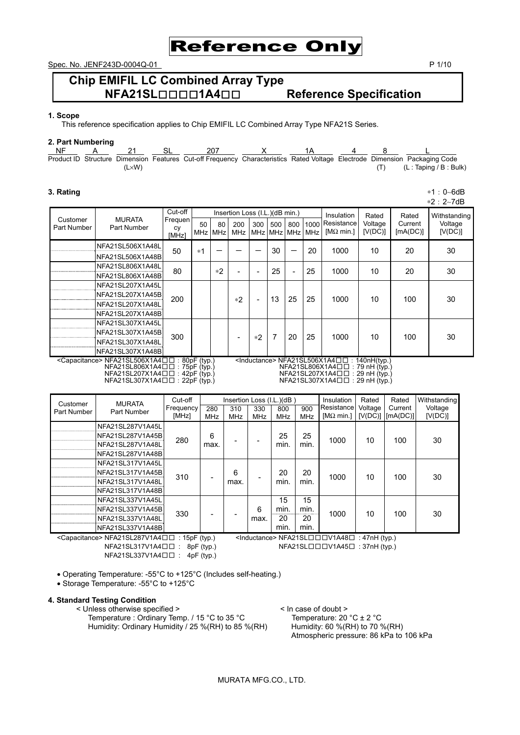

Spec. No. JENF243D-0004Q-01 P 1/10

# **Chip EMIFIL LC Combined Array Type NFA21SL**□□□□**1A4**□□ **Reference Specification**

## **1. Scope**

This reference specification applies to Chip EMIFIL LC Combined Array Type NFA21S Series.

#### **2. Part Numbering**

| <b>NF</b> |       |                                                                                                                            |  |  |                         |
|-----------|-------|----------------------------------------------------------------------------------------------------------------------------|--|--|-------------------------|
|           |       | Product ID Structure Dimension Features Cut-off Frequency Characteristics Rated Voltage Electrode Dimension Packaging Code |  |  |                         |
|           | .L×W` |                                                                                                                            |  |  | (L : Taping / B : Bulk) |

#### **3. Rating** ∗1:0∼6dB

∗2:2∼7dB

|                         |                                                                           | Cut-off       |      |            | Insertion Loss (I.L.) (dB min.)                                              |      |                                |     | <b>Insulation</b> | Rated                                                     | Rated           | Withstanding |         |
|-------------------------|---------------------------------------------------------------------------|---------------|------|------------|------------------------------------------------------------------------------|------|--------------------------------|-----|-------------------|-----------------------------------------------------------|-----------------|--------------|---------|
| Customer<br>Part Number | <b>MURATA</b><br>Part Number                                              | Frequen<br>CV | 50   | 80         | 200                                                                          | 300  | 500                            | 800 | 1000              | Resistance                                                | Voltage         | Current      | Voltage |
|                         |                                                                           |               | MHz  | <b>MHz</b> | <b>MHz</b>                                                                   |      |                                |     | MHz MHz MHz MHz   | [ $M\Omega$ min.]                                         | [V(DC)]         | [MA(DC)]     | [V(DC)] |
|                         | NFA21SL506X1A48L                                                          | 50            | $*1$ |            |                                                                              |      | 30                             |     | 20                | 1000                                                      | 10              | 20           | 30      |
|                         | NFA21SL506X1A48B                                                          |               |      |            |                                                                              |      |                                |     |                   |                                                           |                 |              |         |
|                         | NFA21SL806X1A48L                                                          | 80            |      | $*2$       |                                                                              |      | 25                             |     | 25                | 1000                                                      | 10              | 20           | 30      |
|                         | NFA21SL806X1A48B                                                          |               |      |            | ۰                                                                            |      |                                |     |                   |                                                           |                 |              |         |
|                         | NFA21SL207X1A45L                                                          |               |      |            |                                                                              |      |                                |     |                   |                                                           |                 |              |         |
|                         | NFA21SL207X1A45B                                                          | 200           |      |            | $*2$                                                                         |      | 13                             | 25  | 25                | 1000                                                      | 10              | 100          | 30      |
|                         | NFA21SL207X1A48L                                                          |               |      |            |                                                                              |      |                                |     |                   |                                                           |                 |              |         |
|                         | NFA21SL207X1A48B                                                          |               |      |            |                                                                              |      |                                |     |                   |                                                           |                 |              |         |
|                         | NFA21SL307X1A45L                                                          |               |      |            |                                                                              |      |                                |     |                   |                                                           |                 |              |         |
|                         | NFA21SL307X1A45B                                                          | 300           |      |            | ۰                                                                            | $*2$ | 7                              | 20  | 25                | 1000                                                      | 10 <sup>1</sup> | 100          | 30      |
|                         | NFA21SL307X1A48L                                                          |               |      |            |                                                                              |      |                                |     |                   |                                                           |                 |              |         |
|                         | NFA21SL307X1A48B                                                          |               |      |            |                                                                              |      |                                |     |                   |                                                           |                 |              |         |
|                         | <capacitance> NFA21SL506X1A4□□: 80pF (typ.)</capacitance>                 |               |      |            |                                                                              |      |                                |     |                   | $\leq$ Inductance> NFA21SL506X1A4 $\square$ : 140nH(typ.) |                 |              |         |
|                         | $NFA21SL806X1A4\Box\Box$ : 75pF (typ.)                                    |               |      |            | NFA21SL806X1A4□□: 79 nH (typ.)<br>$NFA21SL207X1A4 \Box \Box : 29 \nH (typ.)$ |      |                                |     |                   |                                                           |                 |              |         |
|                         | $NFA21SL207X1A4 \Box \Box : 42pF$ (typ.)<br>NFA21SL307X1A4□□: 22pF (typ.) |               |      |            |                                                                              |      | NFA21SL307X1A4□□: 29 nH (typ.) |     |                   |                                                           |                 |              |         |

| Customer<br>Part Number | <b>MURATA</b><br>Part Number                                                 | Cut-off<br>Frequency<br>[MHz] | 280<br><b>MHz</b> | 310<br><b>MHz</b> | 330<br><b>MHz</b> | Insertion Loss (I.L.)(dB)<br>800<br><b>MHz</b> | 900<br><b>MHz</b>        | Insulation<br>Resistance<br>[ $M\Omega$ min.] | Rated<br>Voltage | Rated<br>Current<br>$[V(DC)]$ $[mA(DC)]$ | Withstanding<br>Voltage<br>[V(DC)] |
|-------------------------|------------------------------------------------------------------------------|-------------------------------|-------------------|-------------------|-------------------|------------------------------------------------|--------------------------|-----------------------------------------------|------------------|------------------------------------------|------------------------------------|
|                         | NFA21SL287V1A45L<br>NFA21SL287V1A45B<br>NFA21SL287V1A48L<br>NFA21SL287V1A48B | 280                           | 6<br>max.         |                   |                   | 25<br>min.                                     | 25<br>min.               | 1000                                          | 10               | 100                                      | 30                                 |
|                         | NFA21SL317V1A45L<br>NFA21SL317V1A45B<br>NFA21SL317V1A48L<br>NFA21SL317V1A48B | 310                           |                   | 6<br>max.         | -                 | 20<br>min.                                     | 20<br>min.               | 1000                                          | 10               | 100                                      | 30                                 |
|                         | NFA21SL337V1A45L<br>NFA21SL337V1A45B<br>NFA21SL337V1A48L<br>NFA21SL337V1A48B | 330                           |                   |                   | 6<br>max.         | 15<br>min.<br>20<br>min.                       | 15<br>min.<br>20<br>min. | 1000                                          | 10               | 100                                      | 30                                 |

<Capacitance> NFA21SL287V1A4□□ : 15pF (typ.) <Inductance> NFA21SL□□□V1A48□ : 47nH (typ.) NFA21SL317V1A4□ : 8pF (typ.) NFA21SL□□□V1A45□ : 37nH (typ.) NFA21SL337V1A4□□ : 4pF (typ.)

NFA21SL□□□V1A45□ : 37nH (typ.)

• Operating Temperature: -55°C to +125°C (Includes self-heating.)

• Storage Temperature: -55°C to +125°C

#### **4. Standard Testing Condition**

< Unless otherwise specified > <br>Temperature : Ordinary Temp. / 15 °C to 35 °C <br>Humidity: Ordinary Humidity / 25 %(RH) to 85 %(RH) <br>Humidity: 60 %(RH) to 70 %(RH) Temperature : Ordinary Temp. / 15 °C to 35 °C Humidity: Ordinary Humidity / 25 %(RH) to 85 %(RH)

Atmospheric pressure: 86 kPa to 106 kPa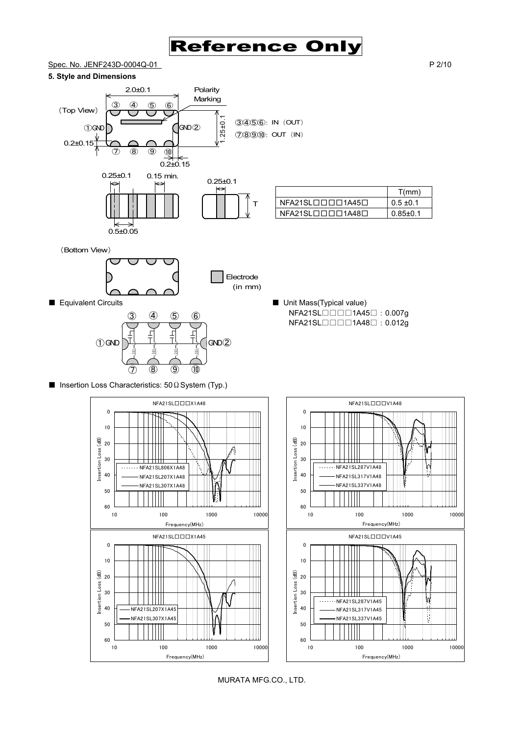

## Spec. No. JENF243D-0004Q-01 P 2/10

#### **5. Style and Dimensions**



|                                            | T(mm)         |
|--------------------------------------------|---------------|
| $NFA21SL$ $\Box$ $\Box$ $\Box$ 1A45 $\Box$ | $0.5 \pm 0.1$ |
| NFA21SLロロロロ1A48ロ                           | 0.85+0.1      |

NFA21SL□□□1A45□:0.007g NFA21SL□□□1A48□: 0.012g

(Bottom View)

0.5±0.05



■ Equivalent Circuits <br>■ Unit Mass(Typical value)



■ Insertion Loss Characteristics: 50 Ω System (Typ.)



MURATA MFG.CO., LTD.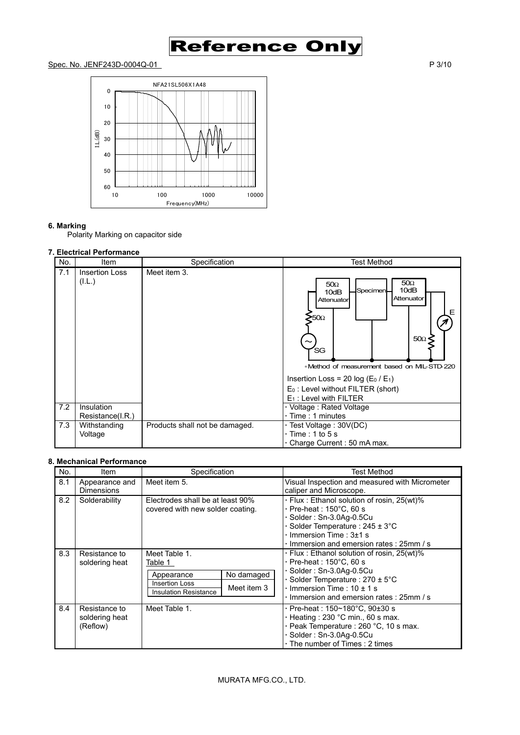

## Spec. No. JENF243D-0004Q-01 P 3/10



## **6. Marking**

Polarity Marking on capacitor side

## **7. Electrical Performance**

| No. | Item                            | Specification                  | <b>Test Method</b>                                                                                                                                                                                                                                                                              |
|-----|---------------------------------|--------------------------------|-------------------------------------------------------------------------------------------------------------------------------------------------------------------------------------------------------------------------------------------------------------------------------------------------|
| 7.1 | <b>Insertion Loss</b><br>(I.L.) | Meet item 3.                   | $50\Omega$<br>$50\Omega$<br>10dB<br>Specimen<br>10dB<br>Attenuator<br>Attenuator<br>Е<br>>50 <sub>Ω</sub><br>$50\Omega$<br>'SG<br>*Method of measurement based on MIL-STD-220<br>Insertion Loss = 20 log ( $E_0$ / $E_1$ )<br>$E_0$ : Level without FILTER (short)<br>$E_1$ : Level with FILTER |
| 7.2 | Insulation<br>Resistance(I.R.)  |                                | · Voltage: Rated Voltage<br>⋅ Time : 1 minutes                                                                                                                                                                                                                                                  |
| 7.3 | Withstanding<br>Voltage         | Products shall not be damaged. | · Test Voltage: 30V(DC)<br>$\cdot$ Time : 1 to 5 s<br>Charge Current: 50 mA max.                                                                                                                                                                                                                |

## **8. Mechanical Performance**

| No. | ltem                                        | Specification                                                                                                                | Test Method                                                                                                                                                                                                                                           |
|-----|---------------------------------------------|------------------------------------------------------------------------------------------------------------------------------|-------------------------------------------------------------------------------------------------------------------------------------------------------------------------------------------------------------------------------------------------------|
| 8.1 | Appearance and<br><b>Dimensions</b>         | Meet item 5.                                                                                                                 | Visual Inspection and measured with Micrometer<br>caliper and Microscope.                                                                                                                                                                             |
| 8.2 | Solderability                               | Electrodes shall be at least 90%<br>covered with new solder coating.                                                         | · Flux: Ethanol solution of rosin, 25(wt)%<br>$\cdot$ Pre-heat : 150 $^{\circ}$ C, 60 s<br>· Solder: Sn-3.0Aq-0.5Cu<br>Solder Temperature : $245 \pm 3^{\circ}$ C<br>$\cdot$ Immersion Time : 3 $\pm$ 1 s<br>Immersion and emersion rates: 25mm / s   |
| 8.3 | Resistance to<br>soldering heat             | Meet Table 1.<br>Table 1<br>No damaged<br>Appearance<br><b>Insertion Loss</b><br>Meet item 3<br><b>Insulation Resistance</b> | . Flux: Ethanol solution of rosin, 25(wt)%<br>$\cdot$ Pre-heat : 150 $^{\circ}$ C, 60 s<br>Solder: Sn-3.0Aq-0.5Cu<br>$\cdot$ Solder Temperature : 270 $\pm$ 5°C<br>$\cdot$ Immersion Time : 10 $\pm$ 1 s<br>· Immersion and emersion rates : 25mm / s |
| 8.4 | Resistance to<br>soldering heat<br>(Reflow) | Meet Table 1.                                                                                                                | $\cdot$ Pre-heat : 150~180°C, 90±30 s<br>· Heating: 230 °C min., 60 s max.<br>· Peak Temperature : 260 °C, 10 s max.<br>$\cdot$ Solder: Sn-3.0Ag-0.5Cu<br>· The number of Times : 2 times                                                             |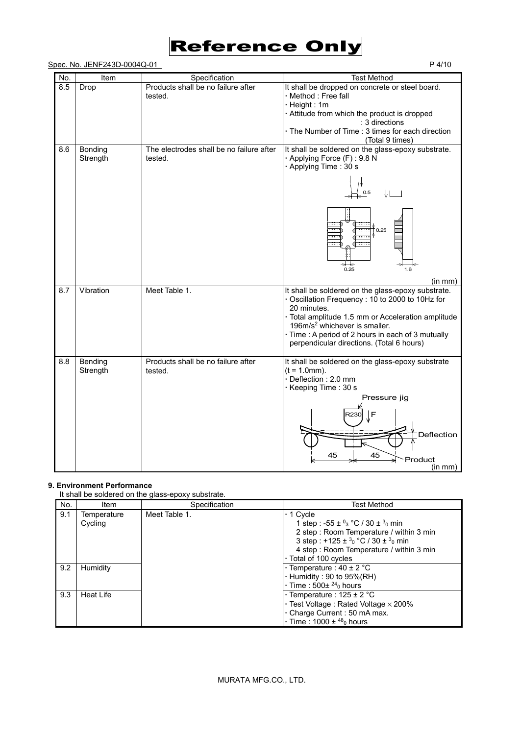

| Spec. No. JENF243D-0004Q-01 | P 4/10 |
|-----------------------------|--------|
|-----------------------------|--------|

| No. | Item                | Specification                                       | <b>Test Method</b>                                                                                                                                                       |
|-----|---------------------|-----------------------------------------------------|--------------------------------------------------------------------------------------------------------------------------------------------------------------------------|
| 8.5 | Drop                | Products shall be no failure after<br>tested.       | It shall be dropped on concrete or steel board.<br>· Method : Free fall<br>$\cdot$ Height : 1m                                                                           |
|     |                     |                                                     | · Attitude from which the product is dropped                                                                                                                             |
|     |                     |                                                     | : 3 directions                                                                                                                                                           |
|     |                     |                                                     | · The Number of Time: 3 times for each direction<br>(Total 9 times)                                                                                                      |
| 8.6 | Bonding<br>Strength | The electrodes shall be no failure after<br>tested. | It shall be soldered on the glass-epoxy substrate.<br>· Applying Force (F): 9.8 N<br>· Applying Time: 30 s                                                               |
|     |                     |                                                     | 0.5                                                                                                                                                                      |
|     |                     |                                                     | 0.25                                                                                                                                                                     |
|     |                     |                                                     | 0.25<br>1.6                                                                                                                                                              |
|     |                     |                                                     | (in mm)                                                                                                                                                                  |
| 8.7 | Vibration           | Meet Table 1.                                       | It shall be soldered on the glass-epoxy substrate.<br>Oscillation Frequency: 10 to 2000 to 10Hz for<br>20 minutes.<br>· Total amplitude 1.5 mm or Acceleration amplitude |
|     |                     |                                                     | 196m/s <sup>2</sup> whichever is smaller.                                                                                                                                |
|     |                     |                                                     | · Time : A period of 2 hours in each of 3 mutually<br>perpendicular directions. (Total 6 hours)                                                                          |
| 8.8 | Bending<br>Strength | Products shall be no failure after<br>tested.       | It shall be soldered on the glass-epoxy substrate<br>$(t = 1.0mm)$ .<br>Deflection: 2.0 mm<br>· Keeping Time: 30 s                                                       |
|     |                     |                                                     | Pressure jig                                                                                                                                                             |
|     |                     |                                                     | I F<br>२२३०<br>Deflection                                                                                                                                                |
|     |                     |                                                     | 45<br>45<br>Product<br>(in mm)                                                                                                                                           |

## **9. Environment Performance**

It shall be soldered on the glass-epoxy substrate.

| No. | Item                   | Specification | <b>Test Method</b>                                                                                                                                                                                                                                  |
|-----|------------------------|---------------|-----------------------------------------------------------------------------------------------------------------------------------------------------------------------------------------------------------------------------------------------------|
| 9.1 | Temperature<br>Cycling | Meet Table 1. | $\cdot$ 1 Cycle<br>1 step : -55 ± $^{0}$ <sub>3</sub> °C / 30 ± $^{3}$ <sub>0</sub> min<br>2 step: Room Temperature / within 3 min<br>3 step : +125 ± $3_0$ °C / 30 ± $3_0$ min<br>4 step: Room Temperature / within 3 min<br>. Total of 100 cycles |
| 9.2 | Humidity               |               | $\cdot$ Temperature : 40 $\pm$ 2 °C<br>$\cdot$ Humidity : 90 to 95% (RH)<br>$\cdot$ Time : 500 $\pm$ <sup>24</sup> <sub>0</sub> hours                                                                                                               |
| 9.3 | Heat Life              |               | $\cdot$ Temperature : 125 ± 2 °C<br>$\cdot$ Test Voltage : Rated Voltage $\times$ 200%<br>. Charge Current: 50 mA max.<br>$\cdot$ Time : 1000 $\pm$ <sup>48</sup> <sub>0</sub> hours                                                                |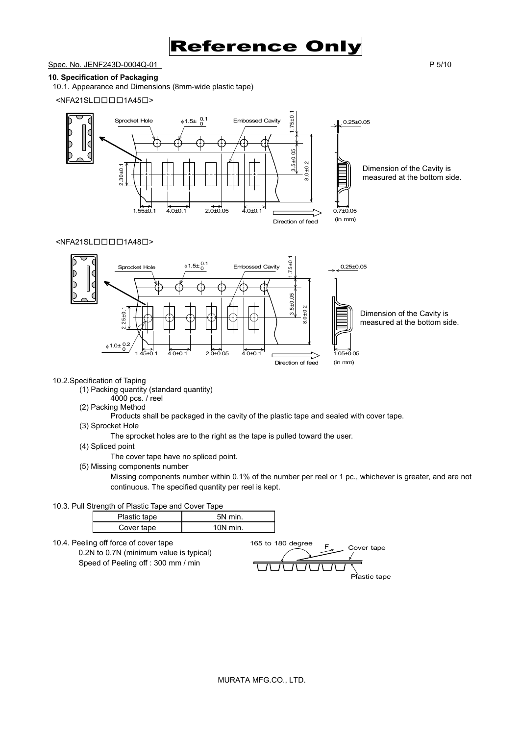

Spec. No. JENF243D-0004Q-01 P 5/10

### **10. Specification of Packaging**

10.1. Appearance and Dimensions (8mm-wide plastic tape)

<NFA21SL□□□□1A45□>



## <NFA21SL□□□□1A48□>



#### 10.2.Specification of Taping

- (1) Packing quantity (standard quantity)
	- 4000 pcs. / reel
- (2) Packing Method
	- Products shall be packaged in the cavity of the plastic tape and sealed with cover tape.
- (3) Sprocket Hole
	- The sprocket holes are to the right as the tape is pulled toward the user.
- (4) Spliced point
	- The cover tape have no spliced point.
- (5) Missing components number

Missing components number within 0.1% of the number per reel or 1 pc., whichever is greater, and are not continuous. The specified quantity per reel is kept.

10.3. Pull Strength of Plastic Tape and Cover Tape

| Plastic tape | 5N min.    |
|--------------|------------|
| Cover tape   | $10N$ min. |

10.4. Peeling off force of cover tape 0.2N to 0.7N (minimum value is typical) Speed of Peeling off : 300 mm / min

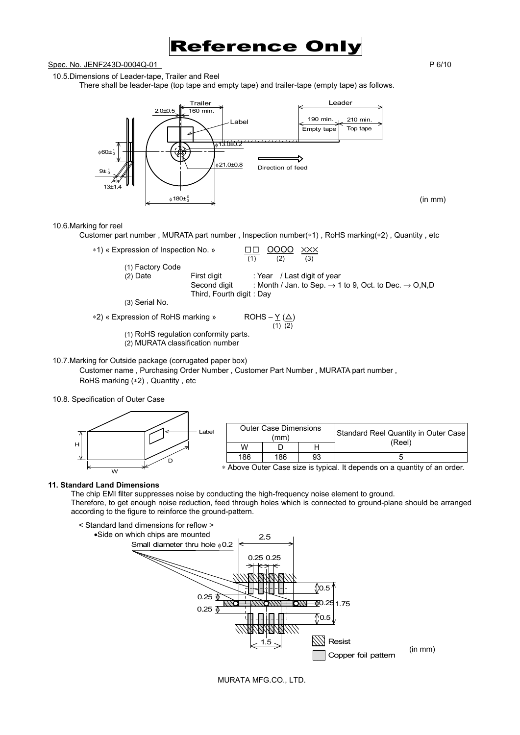

## Spec. No. JENF243D-0004Q-01 P 6/10

### 10.5.Dimensions of Leader-tape, Trailer and Reel

There shall be leader-tape (top tape and empty tape) and trailer-tape (empty tape) as follows.



10.6.Marking for reel

Customer part number , MURATA part number , Inspection number(∗1) , RoHS marking(∗2) , Quantity , etc

| *1) « Expression of Inspection No. » | XXX<br>OOOO<br>(1)<br>(2)<br>(3)                                              |
|--------------------------------------|-------------------------------------------------------------------------------|
| (1) Factory Code                     |                                                                               |
| First digit<br>$(2)$ Date            | : Year / Last digit of year                                                   |
| Second digit                         | : Month / Jan. to Sep. $\rightarrow$ 1 to 9, Oct. to Dec. $\rightarrow$ O,N,D |
| Third, Fourth digit: Day             |                                                                               |
| (3) Serial No.                       |                                                                               |
| *2) « Expression of RoHS marking »   | $ROHS - Y(\Delta)$                                                            |
|                                      | $(1)$ $(2)$                                                                   |

(1) RoHS regulation conformity parts. (2) MURATA classification number

10.7.Marking for Outside package (corrugated paper box)

Customer name , Purchasing Order Number , Customer Part Number , MURATA part number , RoHS marking (∗2) , Quantity , etc

10.8. Specification of Outer Case



|     | <b>Outer Case Dimensions</b><br>(mm) |    | Standard Reel Quantity in Outer Case |
|-----|--------------------------------------|----|--------------------------------------|
| w   |                                      |    | (Reel)                               |
| 186 | 186                                  | 93 |                                      |

∗ Above Outer Case size is typical. It depends on a quantity of an order.

#### **11. Standard Land Dimensions**

The chip EMI filter suppresses noise by conducting the high-frequency noise element to ground. Therefore, to get enough noise reduction, feed through holes which is connected to ground-plane should be arranged according to the figure to reinforce the ground-pattern.



MURATA MFG.CO., LTD.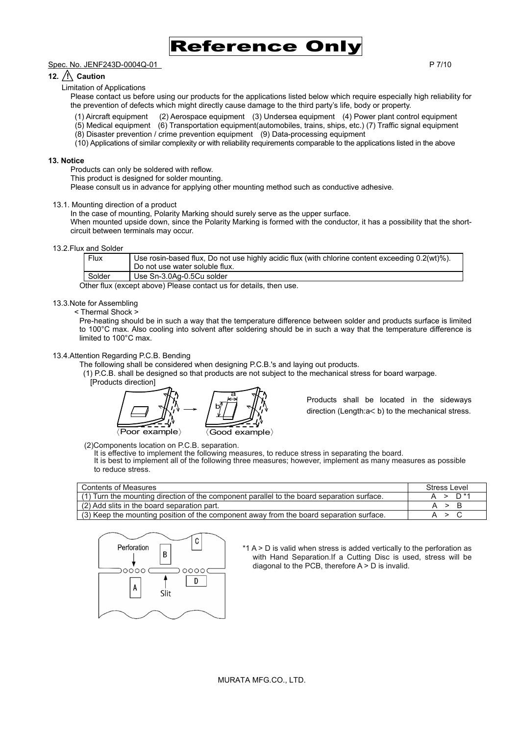

#### Spec. No. JENF243D-0004Q-01 P 7/10

## 12.  $\overline{?}\setminus$  Caution

Limitation of Applications

Please contact us before using our products for the applications listed below which require especially high reliability for the prevention of defects which might directly cause damage to the third party's life, body or property.

- (1) Aircraft equipment (2) Aerospace equipment (3) Undersea equipment (4) Power plant control equipment
- (5) Medical equipment (6) Transportation equipment(automobiles, trains, ships, etc.) (7) Traffic signal equipment
- (8) Disaster prevention / crime prevention equipment (9) Data-processing equipment
- (10) Applications of similar complexity or with reliability requirements comparable to the applications listed in the above

#### **13. Notice**

Products can only be soldered with reflow.

This product is designed for solder mounting.

Please consult us in advance for applying other mounting method such as conductive adhesive.

#### 13.1. Mounting direction of a product

In the case of mounting, Polarity Marking should surely serve as the upper surface.

When mounted upside down, since the Polarity Marking is formed with the conductor, it has a possibility that the shortcircuit between terminals may occur.

#### 13.2.Flux and Solder

| Flux   | Use rosin-based flux, Do not use highly acidic flux (with chlorine content exceeding 0.2(wt)%).<br>Do not use water soluble flux. |
|--------|-----------------------------------------------------------------------------------------------------------------------------------|
| Solder | Use Sn-3.0Ag-0.5Cu solder                                                                                                         |

Other flux (except above) Please contact us for details, then use.

#### 13.3.Note for Assembling

< Thermal Shock >

Pre-heating should be in such a way that the temperature difference between solder and products surface is limited to 100°C max. Also cooling into solvent after soldering should be in such a way that the temperature difference is limited to 100°C max.

#### 13.4.Attention Regarding P.C.B. Bending

The following shall be considered when designing P.C.B.'s and laying out products.

(1) P.C.B. shall be designed so that products are not subject to the mechanical stress for board warpage.

[Products direction]



Products shall be located in the sideways direction (Length:a< b) to the mechanical stress.

(2)Components location on P.C.B. separation.

It is effective to implement the following measures, to reduce stress in separating the board.

It is best to implement all of the following three measures; however, implement as many measures as possible to reduce stress.

| Contents of Measures                                                                       | Stress Level |
|--------------------------------------------------------------------------------------------|--------------|
| (1) Turn the mounting direction of the component parallel to the board separation surface. | $D^*$<br>⋗   |
| (2) Add slits in the board separation part.                                                | A > B        |
| (3) Keep the mounting position of the component away from the board separation surface.    |              |



\*1 A > D is valid when stress is added vertically to the perforation as with Hand Separation.If a Cutting Disc is used, stress will be diagonal to the PCB, therefore A > D is invalid.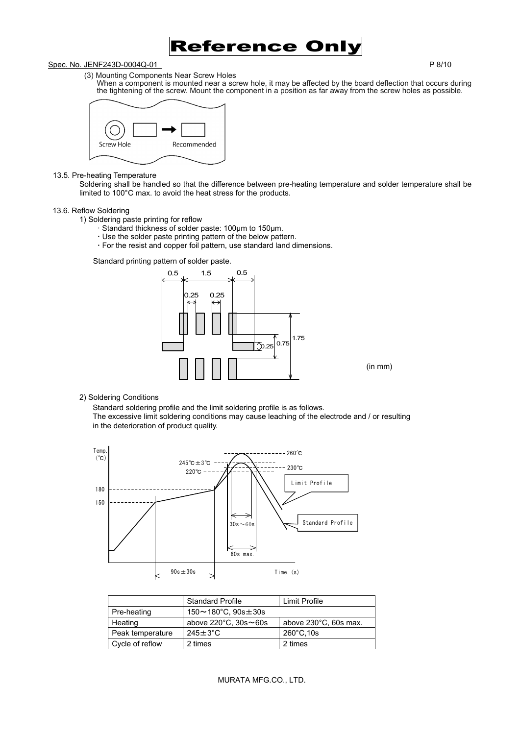

#### Spec. No. JENF243D-0004Q-01 P 8/10

- (3) Mounting Components Near Screw Holes
	- When a component is mounted near a screw hole, it may be affected by the board deflection that occurs during the tightening of the screw. Mount the component in a position as far away from the screw holes as possible.



#### 13.5. Pre-heating Temperature

Soldering shall be handled so that the difference between pre-heating temperature and solder temperature shall be limited to 100°C max. to avoid the heat stress for the products.

#### 13.6. Reflow Soldering

- 1) Soldering paste printing for reflow
	- · Standard thickness of solder paste: 100µm to 150µm.
	- **·** Use the solder paste printing pattern of the below pattern.
	- **·** For the resist and copper foil pattern, use standard land dimensions.

Standard printing pattern of solder paste.



#### 2) Soldering Conditions

Standard soldering profile and the limit soldering profile is as follows. The excessive limit soldering conditions may cause leaching of the electrode and / or resulting in the deterioration of product quality.



|                  | <b>Standard Profile</b>                 | Limit Profile         |  |
|------------------|-----------------------------------------|-----------------------|--|
| Pre-heating      | $150 \sim 180^{\circ}$ C, $90s \pm 30s$ |                       |  |
| Heating          | above $220^{\circ}$ C, $30s \sim 60s$   | above 230°C, 60s max. |  |
| Peak temperature | $245 \pm 3^{\circ}$ C                   | $260^{\circ}$ C.10s   |  |
| Cycle of reflow  | 2 times                                 | 2 times               |  |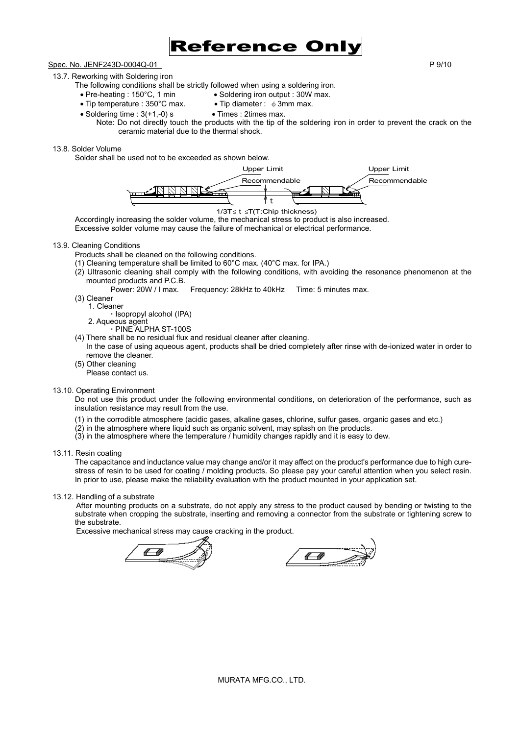

## Spec. No. JENF243D-0004Q-01 P 9/10

## 13.7. Reworking with Soldering iron

The following conditions shall be strictly followed when using a soldering iron.

- Pre-heating : 150°C, 1 min Soldering iron output : 30W max.<br>• Tip temperature : 350°C max. Tip diameter :  $\phi$  3mm max.
- Tip temperature : 350°C max.
- 
- Soldering time :  $3(+1,-0)$  s Times : 2times max.
	- Note: Do not directly touch the products with the tip of the soldering iron in order to prevent the crack on the ceramic material due to the thermal shock.

#### 13.8. Solder Volume

Solder shall be used not to be exceeded as shown below.



Accordingly increasing the solder volume, the mechanical stress to product is also increased. Excessive solder volume may cause the failure of mechanical or electrical performance.

#### 13.9. Cleaning Conditions

- Products shall be cleaned on the following conditions.
- (1) Cleaning temperature shall be limited to 60°C max. (40°C max. for IPA.)
- (2) Ultrasonic cleaning shall comply with the following conditions, with avoiding the resonance phenomenon at the mounted products and P.C.B.
	- Power: 20W / I max. Frequency: 28kHz to 40kHz Time: 5 minutes max.
- (3) Cleaner
	- 1. Cleaner **·** Isopropyl alcohol (IPA)
	- 2. Aqueous agent
		- **·** PINE ALPHA ST-100S
- (4) There shall be no residual flux and residual cleaner after cleaning.
- In the case of using aqueous agent, products shall be dried completely after rinse with de-ionized water in order to remove the cleaner.
- (5) Other cleaning
- Please contact us.

#### 13.10. Operating Environment

Do not use this product under the following environmental conditions, on deterioration of the performance, such as insulation resistance may result from the use.

- (1) in the corrodible atmosphere (acidic gases, alkaline gases, chlorine, sulfur gases, organic gases and etc.)
- (2) in the atmosphere where liquid such as organic solvent, may splash on the products.
- $(3)$  in the atmosphere where the temperature  $\overline{I}$  humidity changes rapidly and it is easy to dew.
- 13.11. Resin coating

The capacitance and inductance value may change and/or it may affect on the product's performance due to high curestress of resin to be used for coating / molding products. So please pay your careful attention when you select resin. In prior to use, please make the reliability evaluation with the product mounted in your application set.

13.12. Handling of a substrate

After mounting products on a substrate, do not apply any stress to the product caused by bending or twisting to the substrate when cropping the substrate, inserting and removing a connector from the substrate or tightening screw to the substrate.

Excessive mechanical stress may cause cracking in the product.

4 W

<u>4 - 4</u>